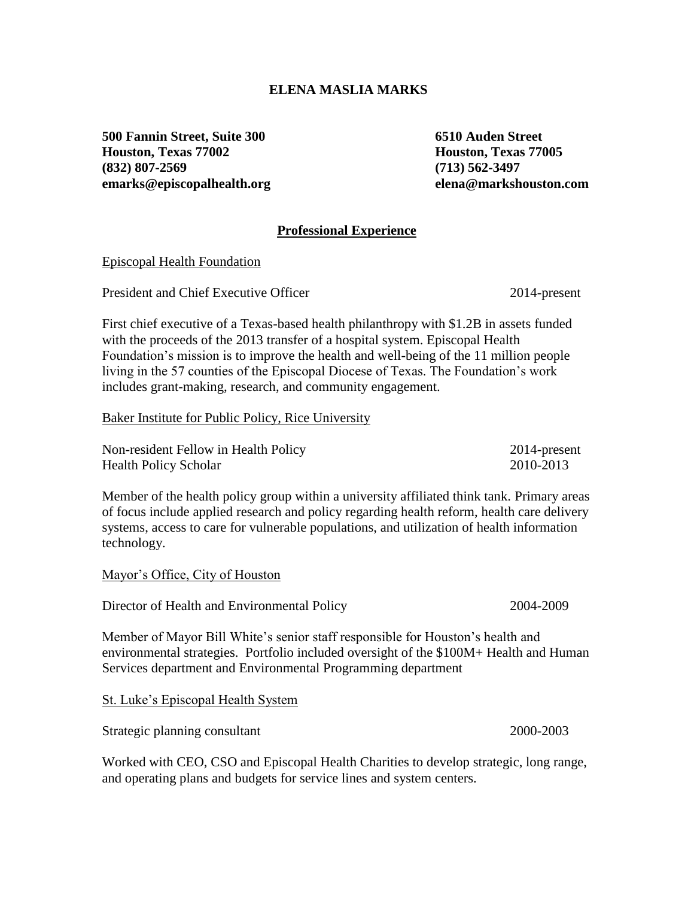## **ELENA MASLIA MARKS**

**500 Fannin Street, Suite 300 6510 Auden Street Houston, Texas 77002 Houston, Texas 77005 (832) 807-2569 (713) 562-3497 [emarks@episcopalhealth.org](mailto:emarks@episcopalhealth.org) elena@markshouston.com**

## **Professional Experience**

Episcopal Health Foundation

President and Chief Executive Officer 2014-present

First chief executive of a Texas-based health philanthropy with \$1.2B in assets funded with the proceeds of the 2013 transfer of a hospital system. Episcopal Health Foundation's mission is to improve the health and well-being of the 11 million people living in the 57 counties of the Episcopal Diocese of Texas. The Foundation's work includes grant-making, research, and community engagement.

Baker Institute for Public Policy, Rice University

| Non-resident Fellow in Health Policy | 2014-present |
|--------------------------------------|--------------|
| <b>Health Policy Scholar</b>         | 2010-2013    |

Member of the health policy group within a university affiliated think tank. Primary areas of focus include applied research and policy regarding health reform, health care delivery systems, access to care for vulnerable populations, and utilization of health information technology.

Mayor's Office, City of Houston

Director of Health and Environmental Policy 2004-2009

Member of Mayor Bill White's senior staff responsible for Houston's health and environmental strategies. Portfolio included oversight of the \$100M+ Health and Human Services department and Environmental Programming department

St. Luke's Episcopal Health System

Strategic planning consultant 2000-2003

Worked with CEO, CSO and Episcopal Health Charities to develop strategic, long range, and operating plans and budgets for service lines and system centers.